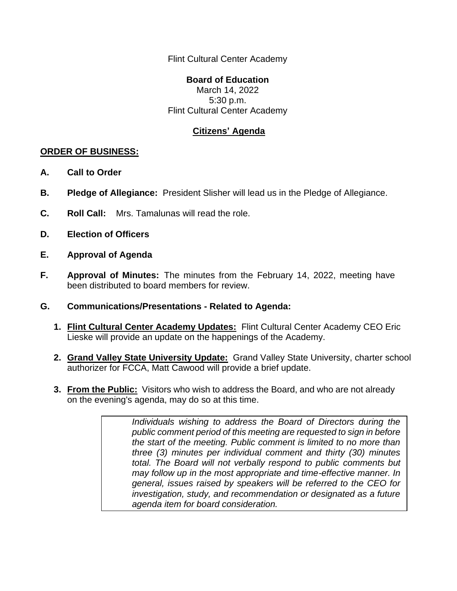Flint Cultural Center Academy

## **Board of Education**

March 14, 2022 5:30 p.m. Flint Cultural Center Academy

## **Citizens' Agenda**

## **ORDER OF BUSINESS:**

- **A. Call to Order**
- **B. Pledge of Allegiance:** President Slisher will lead us in the Pledge of Allegiance.
- **C. Roll Call:** Mrs. Tamalunas will read the role.
- **D. Election of Officers**
- **E. Approval of Agenda**
- **F. Approval of Minutes:** The minutes from the February 14, 2022, meeting have been distributed to board members for review.
- **G. Communications/Presentations - Related to Agenda:**
	- **1. Flint Cultural Center Academy Updates:** Flint Cultural Center Academy CEO Eric Lieske will provide an update on the happenings of the Academy.
	- **2. Grand Valley State University Update:** Grand Valley State University, charter school authorizer for FCCA, Matt Cawood will provide a brief update.
	- **3. From the Public:** Visitors who wish to address the Board, and who are not already on the evening's agenda, may do so at this time.

*Individuals wishing to address the Board of Directors during the public comment period of this meeting are requested to sign in before the start of the meeting. Public comment is limited to no more than three (3) minutes per individual comment and thirty (30) minutes total. The Board will not verbally respond to public comments but may follow up in the most appropriate and time-effective manner. In general, issues raised by speakers will be referred to the CEO for investigation, study, and recommendation or designated as a future agenda item for board consideration.*